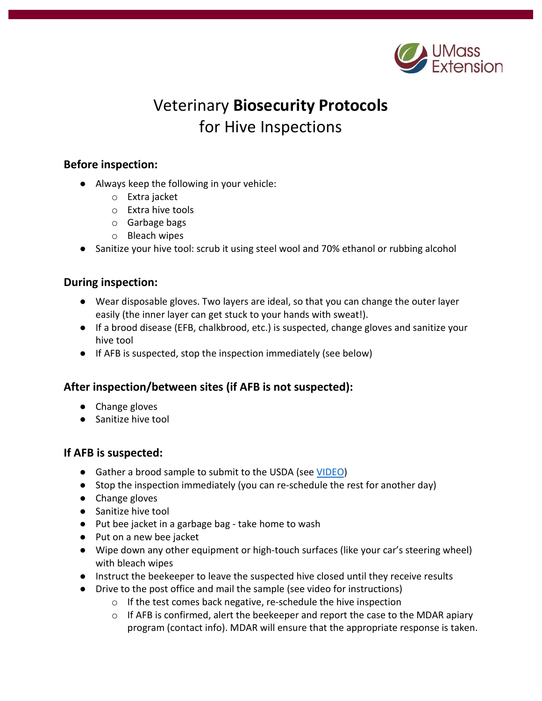

# Veterinary **Biosecurity Protocols**  for Hive Inspections

### **Before inspection:**

- Always keep the following in your vehicle:
	- o Extra jacket
	- o Extra hive tools
	- o Garbage bags
	- o Bleach wipes
- Sanitize your hive tool: scrub it using steel wool and 70% ethanol or rubbing alcohol

## **During inspection:**

- Wear disposable gloves. Two layers are ideal, so that you can change the outer layer easily (the inner layer can get stuck to your hands with sweat!).
- If a brood disease (EFB, chalkbrood, etc.) is suspected, change gloves and sanitize your hive tool
- If AFB is suspected, stop the inspection immediately (see below)

# **After inspection/between sites (if AFB is not suspected):**

- Change gloves
- Sanitize hive tool

#### **If AFB is suspected:**

- Gather a brood sample to submit to the USDA (see [VIDEO\)](https://www.youtube.com/watch?v=8QJ2wLkXtcU)
- Stop the inspection immediately (you can re-schedule the rest for another day)
- Change gloves
- Sanitize hive tool
- Put bee jacket in a garbage bag take home to wash
- Put on a new bee jacket
- Wipe down any other equipment or high-touch surfaces (like your car's steering wheel) with bleach wipes
- Instruct the beekeeper to leave the suspected hive closed until they receive results
- Drive to the post office and mail the sample (see video for instructions)
	- o If the test comes back negative, re-schedule the hive inspection
	- $\circ$  If AFB is confirmed, alert the beekeeper and report the case to the MDAR apiary program (contact info). MDAR will ensure that the appropriate response is taken.